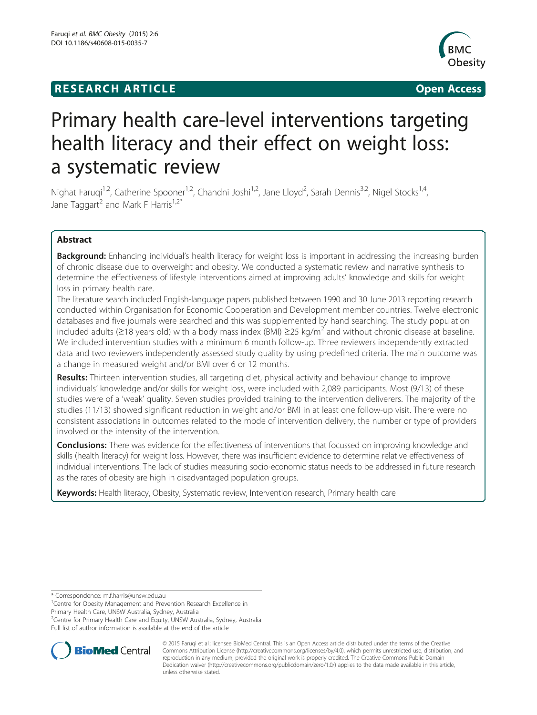## **RESEARCH ARTICLE Example 2014 12:30 The SEAR CH ACCESS**



# Primary health care-level interventions targeting health literacy and their effect on weight loss: a systematic review

Nighat Faruqi<sup>1,2</sup>, Catherine Spooner<sup>1,2</sup>, Chandni Joshi<sup>1,2</sup>, Jane Lloyd<sup>2</sup>, Sarah Dennis<sup>3,2</sup>, Nigel Stocks<sup>1,4</sup>, Jane Taggart<sup>2</sup> and Mark F Harris<sup>1,2\*</sup>

## Abstract

Background: Enhancing individual's health literacy for weight loss is important in addressing the increasing burden of chronic disease due to overweight and obesity. We conducted a systematic review and narrative synthesis to determine the effectiveness of lifestyle interventions aimed at improving adults' knowledge and skills for weight loss in primary health care.

The literature search included English-language papers published between 1990 and 30 June 2013 reporting research conducted within Organisation for Economic Cooperation and Development member countries. Twelve electronic databases and five journals were searched and this was supplemented by hand searching. The study population included adults (≥18 years old) with a body mass index (BMI) ≥25 kg/m<sup>2</sup> and without chronic disease at baseline. We included intervention studies with a minimum 6 month follow-up. Three reviewers independently extracted data and two reviewers independently assessed study quality by using predefined criteria. The main outcome was a change in measured weight and/or BMI over 6 or 12 months.

Results: Thirteen intervention studies, all targeting diet, physical activity and behaviour change to improve individuals' knowledge and/or skills for weight loss, were included with 2,089 participants. Most (9/13) of these studies were of a 'weak' quality. Seven studies provided training to the intervention deliverers. The majority of the studies (11/13) showed significant reduction in weight and/or BMI in at least one follow-up visit. There were no consistent associations in outcomes related to the mode of intervention delivery, the number or type of providers involved or the intensity of the intervention.

**Conclusions:** There was evidence for the effectiveness of interventions that focussed on improving knowledge and skills (health literacy) for weight loss. However, there was insufficient evidence to determine relative effectiveness of individual interventions. The lack of studies measuring socio-economic status needs to be addressed in future research as the rates of obesity are high in disadvantaged population groups.

Keywords: Health literacy, Obesity, Systematic review, Intervention research, Primary health care

\* Correspondence: [m.f.harris@unsw.edu.au](mailto:m.f.harris@unsw.edu.au) <sup>1</sup>

<sup>2</sup>Centre for Primary Health Care and Equity, UNSW Australia, Sydney, Australia

Full list of author information is available at the end of the article



© 2015 Faruqi et al.; licensee BioMed Central. This is an Open Access article distributed under the terms of the Creative Commons Attribution License [\(http://creativecommons.org/licenses/by/4.0\)](http://creativecommons.org/licenses/by/4.0), which permits unrestricted use, distribution, and reproduction in any medium, provided the original work is properly credited. The Creative Commons Public Domain Dedication waiver [\(http://creativecommons.org/publicdomain/zero/1.0/](http://creativecommons.org/publicdomain/zero/1.0/)) applies to the data made available in this article, unless otherwise stated.

Centre for Obesity Management and Prevention Research Excellence in Primary Health Care, UNSW Australia, Sydney, Australia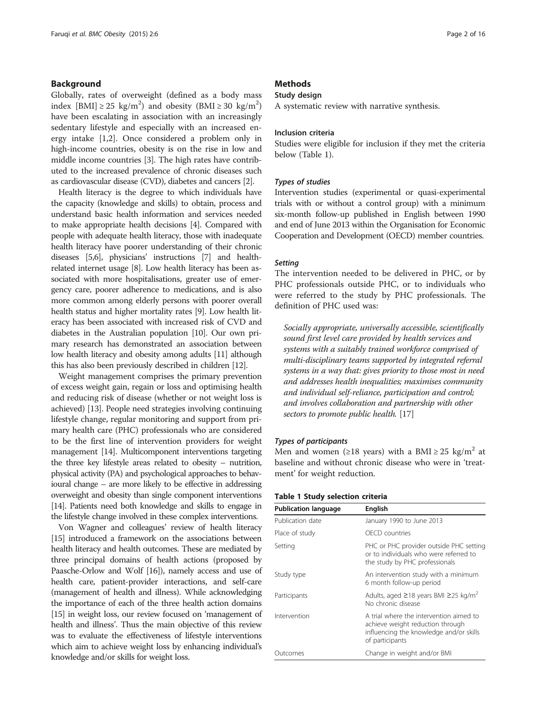## <span id="page-1-0"></span>Background

Globally, rates of overweight (defined as a body mass index [BMI]  $\geq$  25 kg/m<sup>2</sup>) and obesity (BMI  $\geq$  30 kg/m<sup>2</sup>) have been escalating in association with an increasingly sedentary lifestyle and especially with an increased energy intake [\[1,2](#page-14-0)]. Once considered a problem only in high-income countries, obesity is on the rise in low and middle income countries [[3\]](#page-14-0). The high rates have contributed to the increased prevalence of chronic diseases such as cardiovascular disease (CVD), diabetes and cancers [[2](#page-14-0)].

Health literacy is the degree to which individuals have the capacity (knowledge and skills) to obtain, process and understand basic health information and services needed to make appropriate health decisions [\[4\]](#page-14-0). Compared with people with adequate health literacy, those with inadequate health literacy have poorer understanding of their chronic diseases [[5,6](#page-14-0)], physicians' instructions [\[7](#page-14-0)] and healthrelated internet usage [[8](#page-14-0)]. Low health literacy has been associated with more hospitalisations, greater use of emergency care, poorer adherence to medications, and is also more common among elderly persons with poorer overall health status and higher mortality rates [\[9\]](#page-14-0). Low health literacy has been associated with increased risk of CVD and diabetes in the Australian population [[10](#page-14-0)]. Our own primary research has demonstrated an association between low health literacy and obesity among adults [\[11\]](#page-14-0) although this has also been previously described in children [\[12\]](#page-14-0).

Weight management comprises the primary prevention of excess weight gain, regain or loss and optimising health and reducing risk of disease (whether or not weight loss is achieved) [\[13\]](#page-14-0). People need strategies involving continuing lifestyle change, regular monitoring and support from primary health care (PHC) professionals who are considered to be the first line of intervention providers for weight management [\[14\]](#page-14-0). Multicomponent interventions targeting the three key lifestyle areas related to obesity – nutrition, physical activity (PA) and psychological approaches to behavioural change – are more likely to be effective in addressing overweight and obesity than single component interventions [[14\]](#page-14-0). Patients need both knowledge and skills to engage in the lifestyle change involved in these complex interventions.

Von Wagner and colleagues' review of health literacy [[15](#page-14-0)] introduced a framework on the associations between health literacy and health outcomes. These are mediated by three principal domains of health actions (proposed by Paasche-Orlow and Wolf [\[16\]](#page-14-0)), namely access and use of health care, patient-provider interactions, and self-care (management of health and illness). While acknowledging the importance of each of the three health action domains [[15](#page-14-0)] in weight loss, our review focused on 'management of health and illness'. Thus the main objective of this review was to evaluate the effectiveness of lifestyle interventions which aim to achieve weight loss by enhancing individual's knowledge and/or skills for weight loss.

## **Methods**

## Study design

A systematic review with narrative synthesis.

#### Inclusion criteria

Studies were eligible for inclusion if they met the criteria below (Table 1).

## Types of studies

Intervention studies (experimental or quasi-experimental trials with or without a control group) with a minimum six-month follow-up published in English between 1990 and end of June 2013 within the Organisation for Economic Cooperation and Development (OECD) member countries.

## Setting

The intervention needed to be delivered in PHC, or by PHC professionals outside PHC, or to individuals who were referred to the study by PHC professionals. The definition of PHC used was:

Socially appropriate, universally accessible, scientifically sound first level care provided by health services and systems with a suitably trained workforce comprised of multi-disciplinary teams supported by integrated referral systems in a way that: gives priority to those most in need and addresses health inequalities; maximises community and individual self-reliance, participation and control; and involves collaboration and partnership with other sectors to promote public health. [\[17](#page-14-0)]

## Types of participants

Men and women (≥18 years) with a BMI ≥ 25 kg/m<sup>2</sup> at baseline and without chronic disease who were in 'treatment' for weight reduction.

| <b>Table 1 Study selection criteria</b> |  |  |
|-----------------------------------------|--|--|
|-----------------------------------------|--|--|

| <b>Publication language</b> | English                                                                                                                                   |
|-----------------------------|-------------------------------------------------------------------------------------------------------------------------------------------|
| Publication date            | January 1990 to June 2013                                                                                                                 |
| Place of study              | OFCD countries                                                                                                                            |
| Setting                     | PHC or PHC provider outside PHC setting<br>or to individuals who were referred to<br>the study by PHC professionals                       |
| Study type                  | An intervention study with a minimum<br>6 month follow-up period                                                                          |
| Participants                | Adults, aged $\geq$ 18 years BMI $\geq$ 25 kg/m <sup>2</sup><br>No chronic disease                                                        |
| Intervention                | A trial where the intervention aimed to<br>achieve weight reduction through<br>influencing the knowledge and/or skills<br>of participants |
| Outcomes                    | Change in weight and/or BMI                                                                                                               |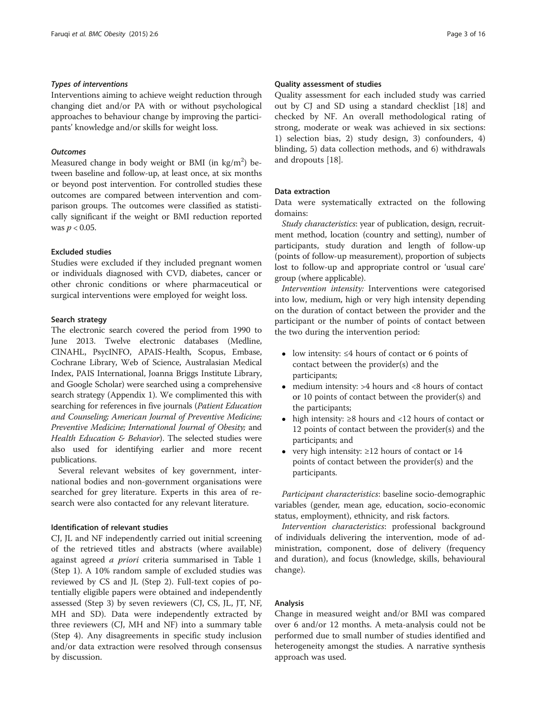## Types of interventions

Interventions aiming to achieve weight reduction through changing diet and/or PA with or without psychological approaches to behaviour change by improving the participants' knowledge and/or skills for weight loss.

## **Outcomes**

Measured change in body weight or BMI (in  $\text{kg/m}^2$ ) between baseline and follow-up, at least once, at six months or beyond post intervention. For controlled studies these outcomes are compared between intervention and comparison groups. The outcomes were classified as statistically significant if the weight or BMI reduction reported was  $p < 0.05$ .

## Excluded studies

Studies were excluded if they included pregnant women or individuals diagnosed with CVD, diabetes, cancer or other chronic conditions or where pharmaceutical or surgical interventions were employed for weight loss.

## Search strategy

The electronic search covered the period from 1990 to June 2013. Twelve electronic databases (Medline, CINAHL, PsycINFO, APAIS-Health, Scopus, Embase, Cochrane Library, Web of Science, Australasian Medical Index, PAIS International, Joanna Briggs Institute Library, and Google Scholar) were searched using a comprehensive search strategy (Appendix [1](#page-12-0)). We complimented this with searching for references in five journals (Patient Education and Counseling; American Journal of Preventive Medicine; Preventive Medicine; International Journal of Obesity; and Health Education & Behavior). The selected studies were also used for identifying earlier and more recent publications.

Several relevant websites of key government, international bodies and non-government organisations were searched for grey literature. Experts in this area of research were also contacted for any relevant literature.

## Identification of relevant studies

CJ, JL and NF independently carried out initial screening of the retrieved titles and abstracts (where available) against agreed a priori criteria summarised in Table [1](#page-1-0) (Step 1). A 10% random sample of excluded studies was reviewed by CS and JL (Step 2). Full-text copies of potentially eligible papers were obtained and independently assessed (Step 3) by seven reviewers (CJ, CS, JL, JT, NF, MH and SD). Data were independently extracted by three reviewers (CJ, MH and NF) into a summary table (Step 4). Any disagreements in specific study inclusion and/or data extraction were resolved through consensus by discussion.

## Quality assessment of studies

Quality assessment for each included study was carried out by CJ and SD using a standard checklist [[18\]](#page-15-0) and checked by NF. An overall methodological rating of strong, moderate or weak was achieved in six sections: 1) selection bias, 2) study design, 3) confounders, 4) blinding, 5) data collection methods, and 6) withdrawals and dropouts [\[18](#page-15-0)].

## Data extraction

Data were systematically extracted on the following domains:

Study characteristics: year of publication, design, recruitment method, location (country and setting), number of participants, study duration and length of follow-up (points of follow-up measurement), proportion of subjects lost to follow-up and appropriate control or 'usual care' group (where applicable).

Intervention intensity: Interventions were categorised into low, medium, high or very high intensity depending on the duration of contact between the provider and the participant or the number of points of contact between the two during the intervention period:

- low intensity:  $\leq 4$  hours of contact or 6 points of contact between the provider(s) and the participants;
- medium intensity: >4 hours and <8 hours of contact or 10 points of contact between the provider(s) and the participants;
- high intensity: ≥8 hours and <12 hours of contact or 12 points of contact between the provider(s) and the participants; and
- very high intensity:  $\geq 12$  hours of contact or 14 points of contact between the provider(s) and the participants.

Participant characteristics: baseline socio-demographic variables (gender, mean age, education, socio-economic status, employment), ethnicity, and risk factors.

Intervention characteristics: professional background of individuals delivering the intervention, mode of administration, component, dose of delivery (frequency and duration), and focus (knowledge, skills, behavioural change).

## Analysis

Change in measured weight and/or BMI was compared over 6 and/or 12 months. A meta-analysis could not be performed due to small number of studies identified and heterogeneity amongst the studies. A narrative synthesis approach was used.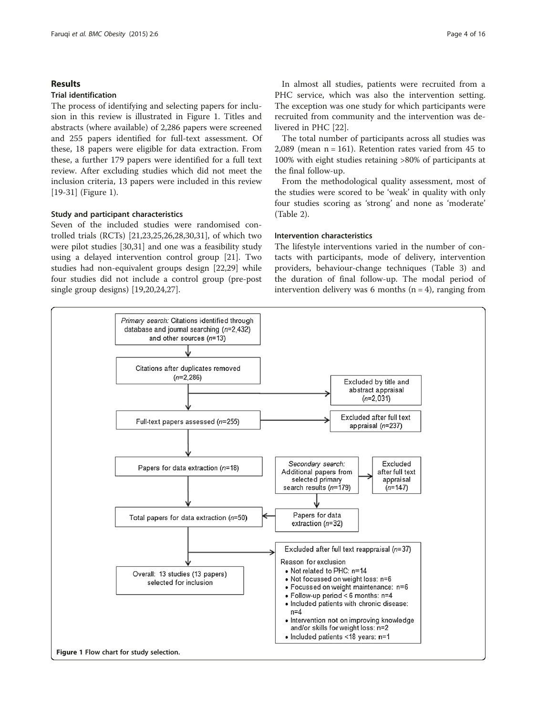## Results

## Trial identification

The process of identifying and selecting papers for inclusion in this review is illustrated in Figure 1. Titles and abstracts (where available) of 2,286 papers were screened and 255 papers identified for full-text assessment. Of these, 18 papers were eligible for data extraction. From these, a further 179 papers were identified for a full text review. After excluding studies which did not meet the inclusion criteria, 13 papers were included in this review [[19-31](#page-15-0)] (Figure 1).

## Study and participant characteristics

Seven of the included studies were randomised controlled trials (RCTs) [[21,23,25](#page-15-0),[26](#page-15-0),[28](#page-15-0),[30](#page-15-0),[31](#page-15-0)], of which two were pilot studies [[30,31\]](#page-15-0) and one was a feasibility study using a delayed intervention control group [[21](#page-15-0)]. Two studies had non-equivalent groups design [[22](#page-15-0),[29](#page-15-0)] while four studies did not include a control group (pre-post single group designs) [\[19,20,24,27\]](#page-15-0).

In almost all studies, patients were recruited from a PHC service, which was also the intervention setting. The exception was one study for which participants were recruited from community and the intervention was delivered in PHC [[22\]](#page-15-0).

The total number of participants across all studies was 2,089 (mean  $n = 161$ ). Retention rates varied from 45 to 100% with eight studies retaining >80% of participants at the final follow-up.

From the methodological quality assessment, most of the studies were scored to be 'weak' in quality with only four studies scoring as 'strong' and none as 'moderate' (Table [2\)](#page-4-0).

## Intervention characteristics

The lifestyle interventions varied in the number of contacts with participants, mode of delivery, intervention providers, behaviour-change techniques (Table [3\)](#page-5-0) and the duration of final follow-up. The modal period of intervention delivery was 6 months  $(n = 4)$ , ranging from

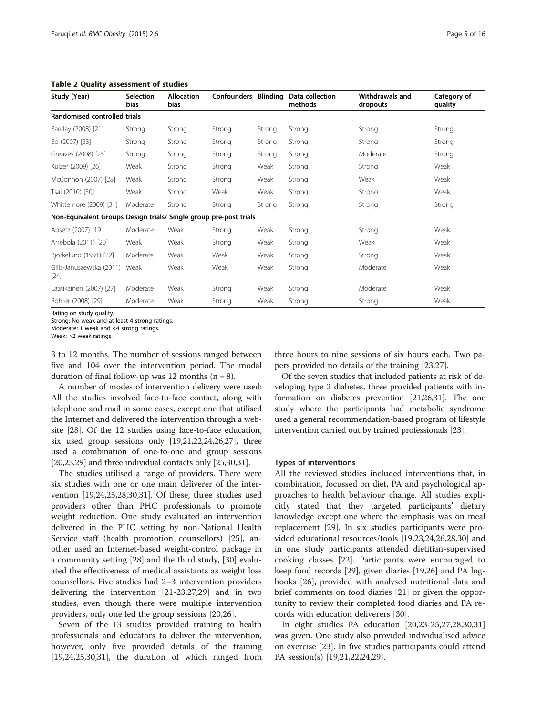<span id="page-4-0"></span>Table 2 Quality assessment of studies

| Study (Year)                                                      | <b>Selection</b><br>bias | <b>Allocation</b><br>bias | Confounders Blinding |        | Data collection<br>methods | Withdrawals and<br>dropouts | Category of<br>quality |
|-------------------------------------------------------------------|--------------------------|---------------------------|----------------------|--------|----------------------------|-----------------------------|------------------------|
| Randomised controlled trials                                      |                          |                           |                      |        |                            |                             |                        |
| Barclay (2008) [21]                                               | Strong                   | Strong                    | Strong               | Strong | Strong                     | Strong                      | Strong                 |
| Bo (2007) [23]                                                    | Strong                   | Strong                    | Strong               | Strong | Strong                     | Strong                      | Strong                 |
| Greaves (2008) [25]                                               | Strong                   | Strong                    | Strong               | Strong | Strong                     | Moderate                    | Strong                 |
| Kulzer (2009) [26]                                                | Weak                     | Strong                    | Strong               | Weak   | Strong                     | Strong                      | Weak                   |
| McConnon (2007) [28]                                              | Weak                     | Strong                    | Strong               | Weak   | Strong                     | Weak                        | Weak                   |
| Tsai (2010) [30]                                                  | Weak                     | Strong                    | Weak                 | Weak   | Strong                     | Strong                      | Weak                   |
| Whittemore (2009) [31]                                            | Moderate                 | Strong                    | Strong               | Strong | Strong                     | Strong                      | Strong                 |
| Non-Equivalent Groups Design trials/ Single group pre-post trials |                          |                           |                      |        |                            |                             |                        |
| Absetz (2007) [19]                                                | Moderate                 | Weak                      | Strong               | Weak   | Strong                     | Strong                      | Weak                   |
| Arrebola (2011) [20]                                              | Weak                     | Weak                      | Strong               | Weak   | Strong                     | Weak                        | Weak                   |
| Bjorkelund (1991) [22]                                            | Moderate                 | Weak                      | Weak                 | Weak   | Strong                     | Strong                      | Weak                   |
| Gilis-Januszewska (2011)<br>$[24]$                                | Weak                     | Weak                      | Weak                 | Weak   | Strong                     | Moderate                    | Weak                   |
| Laatikainen (2007) [27]                                           | Moderate                 | Weak                      | Strong               | Weak   | Strong                     | Moderate                    | Weak                   |
| Rohrer (2008) [29]                                                | Moderate                 | Weak                      | Strong               | Weak   | Strong                     | Strong                      | Weak                   |

Rating on study quality.

Strong: No weak and at least 4 strong ratings.

Moderate: 1 weak and <4 strong ratings.

Weak: ≥2 weak ratings.

3 to 12 months. The number of sessions ranged between five and 104 over the intervention period. The modal duration of final follow-up was 12 months  $(n = 8)$ .

A number of modes of intervention delivery were used: All the studies involved face-to-face contact, along with telephone and mail in some cases, except one that utilised the Internet and delivered the intervention through a website [\[28](#page-15-0)]. Of the 12 studies using face-to-face education, six used group sessions only [\[19,21,22,24,26,27](#page-15-0)], three used a combination of one-to-one and group sessions [[20,23,29\]](#page-15-0) and three individual contacts only [\[25,30,31](#page-15-0)].

The studies utilised a range of providers. There were six studies with one or one main deliverer of the intervention [\[19,24,25,28,30,31](#page-15-0)]. Of these, three studies used providers other than PHC professionals to promote weight reduction. One study evaluated an intervention delivered in the PHC setting by non-National Health Service staff (health promotion counsellors) [\[25](#page-15-0)], another used an Internet-based weight-control package in a community setting [[28\]](#page-15-0) and the third study, [[30\]](#page-15-0) evaluated the effectiveness of medical assistants as weight loss counsellors. Five studies had 2–3 intervention providers delivering the intervention [\[21](#page-15-0)-[23,27,29\]](#page-15-0) and in two studies, even though there were multiple intervention providers, only one led the group sessions [\[20,26\]](#page-15-0).

Seven of the 13 studies provided training to health professionals and educators to deliver the intervention, however, only five provided details of the training [[19,24,25,30,31\]](#page-15-0), the duration of which ranged from

three hours to nine sessions of six hours each. Two papers provided no details of the training [[23,27\]](#page-15-0).

Of the seven studies that included patients at risk of developing type 2 diabetes, three provided patients with information on diabetes prevention [[21,26,31\]](#page-15-0). The one study where the participants had metabolic syndrome used a general recommendation-based program of lifestyle intervention carried out by trained professionals [\[23\]](#page-15-0).

#### Types of interventions

All the reviewed studies included interventions that, in combination, focussed on diet, PA and psychological approaches to health behaviour change. All studies explicitly stated that they targeted participants' dietary knowledge except one where the emphasis was on meal replacement [[29\]](#page-15-0). In six studies participants were provided educational resources/tools [[19,23](#page-15-0),[24](#page-15-0),[26](#page-15-0),[28](#page-15-0),[30](#page-15-0)] and in one study participants attended dietitian-supervised cooking classes [\[22](#page-15-0)]. Participants were encouraged to keep food records [\[29\]](#page-15-0), given diaries [\[19,26\]](#page-15-0) and PA logbooks [[26\]](#page-15-0), provided with analysed nutritional data and brief comments on food diaries [\[21](#page-15-0)] or given the opportunity to review their completed food diaries and PA records with education deliverers [[30\]](#page-15-0).

In eight studies PA education [\[20,23](#page-15-0)-[25,27,28](#page-15-0),[30](#page-15-0),[31](#page-15-0)] was given. One study also provided individualised advice on exercise [\[23\]](#page-15-0). In five studies participants could attend PA session(s) [[19,21,22,24,29](#page-15-0)].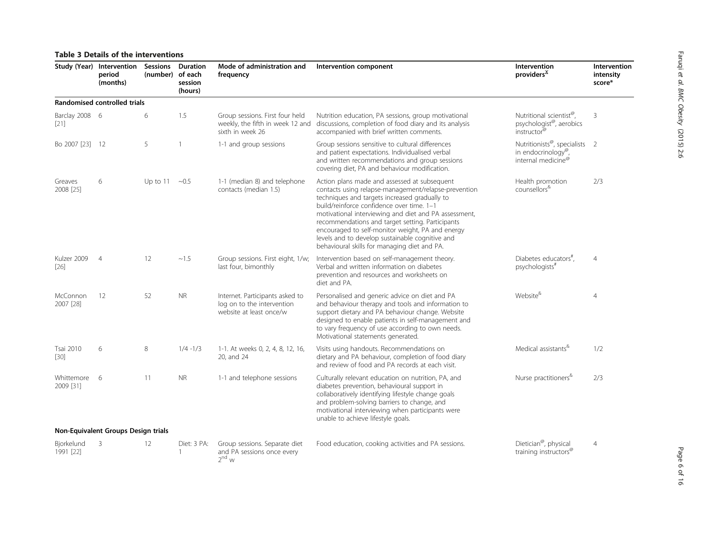(2015) 2:6

|                          | Study (Year) Intervention Sessions<br>period<br>(months) | (number)   | <b>Duration</b><br>of each<br>session<br>(hours) | Mode of administration and<br>frequency                                                  | Intervention component                                                                                                                                                                                                                                                                                                                                                                                                                                                 | Intervention<br>providers <sup>X</sup>                                                                  | Interventio<br>intensity<br>score*         |
|--------------------------|----------------------------------------------------------|------------|--------------------------------------------------|------------------------------------------------------------------------------------------|------------------------------------------------------------------------------------------------------------------------------------------------------------------------------------------------------------------------------------------------------------------------------------------------------------------------------------------------------------------------------------------------------------------------------------------------------------------------|---------------------------------------------------------------------------------------------------------|--------------------------------------------|
|                          | <b>Randomised controlled trials</b>                      |            |                                                  |                                                                                          |                                                                                                                                                                                                                                                                                                                                                                                                                                                                        |                                                                                                         |                                            |
| Barclay 2008 6<br>$[21]$ |                                                          | 6          | 1.5                                              | Group sessions. First four held<br>weekly, the fifth in week 12 and<br>sixth in week 26  | Nutrition education, PA sessions, group motivational<br>discussions, completion of food diary and its analysis<br>accompanied with brief written comments.                                                                                                                                                                                                                                                                                                             | Nutritional scientist <sup>®</sup> ,<br>psychologist <sup>®</sup> , aerobics<br>instructor <sup>@</sup> | 3                                          |
| Bo 2007 [23] 12          |                                                          | 5          | $\overline{1}$                                   | 1-1 and group sessions                                                                   | Group sessions sensitive to cultural differences<br>and patient expectations. Individualised verbal<br>and written recommendations and group sessions<br>covering diet, PA and behaviour modification.                                                                                                                                                                                                                                                                 |                                                                                                         | Nutritionists <sup>@</sup> , specialists 2 |
| Greaves<br>2008 [25]     | 6                                                        | Up to $11$ | ~10.5                                            | 1-1 (median 8) and telephone<br>contacts (median 1.5)                                    | Action plans made and assessed at subsequent<br>contacts using relapse-management/relapse-prevention<br>techniques and targets increased gradually to<br>build/reinforce confidence over time, 1-1<br>motivational interviewing and diet and PA assessment,<br>recommendations and target setting. Participants<br>encouraged to self-monitor weight, PA and energy<br>levels and to develop sustainable cognitive and<br>behavioural skills for managing diet and PA. | Health promotion<br>counsellors <sup>&amp;</sup>                                                        | 7/3                                        |
| Kulzer 2009<br>[26]      | $\overline{4}$                                           | 12         | ~1.5                                             | Group sessions. First eight, 1/w;<br>last four, bimonthly                                | Intervention based on self-management theory.<br>Verbal and written information on diabetes<br>prevention and resources and worksheets on<br>diet and PA.                                                                                                                                                                                                                                                                                                              | Diabetes educators <sup>#</sup> ,<br>psychologists <sup>#</sup>                                         | $\overline{4}$                             |
| McConnon<br>2007 [28]    | 12                                                       | 52         | <b>NR</b>                                        | Internet. Participants asked to<br>log on to the intervention<br>website at least once/w | Personalised and generic advice on diet and PA<br>and behaviour therapy and tools and information to<br>support dietary and PA behaviour change. Website<br>designed to enable patients in self-management and<br>to vary frequency of use according to own needs.<br>Motivational statements generated.                                                                                                                                                               | Website <sup>&amp;</sup>                                                                                | $\overline{4}$                             |
| Tsai 2010<br>$[30]$      | 6                                                        | 8          | $1/4 - 1/3$                                      | 1-1. At weeks 0, 2, 4, 8, 12, 16,<br>20, and 24                                          | Visits using handouts. Recommendations on<br>dietary and PA behaviour, completion of food diary<br>and review of food and PA records at each visit.                                                                                                                                                                                                                                                                                                                    | Medical assistants <sup>&amp;</sup>                                                                     | 1/2                                        |
| Whittemore<br>2009 [31]  | -6                                                       | 11         | <b>NR</b>                                        | 1-1 and telephone sessions                                                               | Culturally relevant education on nutrition, PA, and<br>diabetes prevention, behavioural support in<br>collaboratively identifying lifestyle change goals<br>and problem-solving barriers to change, and<br>motivational interviewing when participants were<br>unable to achieve lifestyle goals.                                                                                                                                                                      | Nurse practitioners <sup>&amp;</sup>                                                                    | 2/3                                        |
|                          | Non-Equivalent Groups Design trials                      |            |                                                  |                                                                                          |                                                                                                                                                                                                                                                                                                                                                                                                                                                                        |                                                                                                         |                                            |
| Bjorkelund<br>1991 [22]  | 3                                                        | 12         | Diet: 3 PA:<br>$\mathbf{1}$                      | Group sessions. Separate diet<br>and PA sessions once every<br>$2^{nd}$ w                | Food education, cooking activities and PA sessions.                                                                                                                                                                                                                                                                                                                                                                                                                    | Dietician <sup>@</sup> , physical<br>training instructors <sup>@</sup>                                  | $\overline{4}$                             |

## <span id="page-5-0"></span>Table 3 Details of the interventions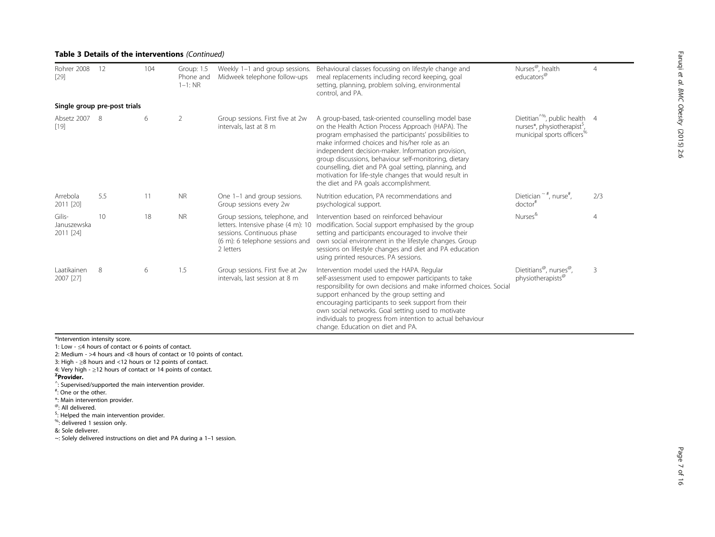## Table 3 Details of the interventions (Continued)

| Rohrer 2008<br>$[29]$              | 12                           | 104 | Group: 1.5<br>Phone and<br>$1 - 1: NR$ | Weekly 1-1 and group sessions.<br>Midweek telephone follow-ups                                                                                     | Behavioural classes focussing on lifestyle change and<br>meal replacements including record keeping, goal<br>setting, planning, problem solving, environmental<br>control, and PA.                                                                                                                                                                                                                                                                                                          | Nurses <sup>®</sup> , health<br>educators <sup>@</sup>                                                                                              | $\overline{4}$ |
|------------------------------------|------------------------------|-----|----------------------------------------|----------------------------------------------------------------------------------------------------------------------------------------------------|---------------------------------------------------------------------------------------------------------------------------------------------------------------------------------------------------------------------------------------------------------------------------------------------------------------------------------------------------------------------------------------------------------------------------------------------------------------------------------------------|-----------------------------------------------------------------------------------------------------------------------------------------------------|----------------|
|                                    | Single group pre-post trials |     |                                        |                                                                                                                                                    |                                                                                                                                                                                                                                                                                                                                                                                                                                                                                             |                                                                                                                                                     |                |
| Absetz 2007 8<br>[19]              |                              | 6   | 2                                      | Group sessions. First five at 2w<br>intervals, last at 8 m                                                                                         | A group-based, task-oriented counselling model base<br>on the Health Action Process Approach (HAPA). The<br>program emphasised the participants' possibilities to<br>make informed choices and his/her role as an<br>independent decision-maker. Information provision,<br>group discussions, behaviour self-monitoring, dietary<br>counselling, diet and PA goal setting, planning, and<br>motivation for life-style changes that would result in<br>the diet and PA goals accomplishment. | Dietitian <sup><math>\gamma</math>%</sup> , public health 4<br>nurses*, physiotherapist <sup>&gt;</sup> ,<br>municipal sports officers <sup>%</sup> |                |
| Arrebola<br>2011 [20]              | 5.5                          | 11  | <b>NR</b>                              | One 1-1 and group sessions.<br>Group sessions every 2w                                                                                             | Nutrition education, PA recommendations and<br>psychological support.                                                                                                                                                                                                                                                                                                                                                                                                                       | Dietician $\tilde{}$ , nurse <sup>#</sup> ,<br>doctor <sup>#</sup>                                                                                  | 7/3            |
| Gilis-<br>Januszewska<br>2011 [24] | 10                           | 18  | <b>NR</b>                              | Group sessions, telephone, and<br>letters. Intensive phase (4 m): 10<br>sessions. Continuous phase<br>(6 m): 6 telephone sessions and<br>2 letters | Intervention based on reinforced behaviour<br>modification. Social support emphasised by the group<br>setting and participants encouraged to involve their<br>own social environment in the lifestyle changes. Group<br>sessions on lifestyle changes and diet and PA education<br>using printed resources. PA sessions.                                                                                                                                                                    | Nurses <sup>&amp;</sup>                                                                                                                             | 4              |
| Laatikainen<br>2007 [27]           | 8                            | 6   | 1.5                                    | Group sessions. First five at 2w<br>intervals, last session at 8 m                                                                                 | Intervention model used the HAPA. Regular<br>self-assessment used to empower participants to take<br>responsibility for own decisions and make informed choices. Social<br>support enhanced by the group setting and<br>encouraging participants to seek support from their<br>own social networks. Goal setting used to motivate<br>individuals to progress from intention to actual behaviour<br>change. Education on diet and PA.                                                        | Dietitians <sup>@</sup> , nurses <sup>@</sup> ,<br>physiotherapists <sup>@</sup>                                                                    | 3              |

\*Intervention intensity score.

1: Low - ≤4 hours of contact or 6 points of contact.

2: Medium - >4 hours and <8 hours of contact or 10 points of contact.

3: High - ≥8 hours and <12 hours or 12 points of contact.

4: Very high -  $\geq$ 12 hours of contact or 14 points of contact.

<sup>X</sup>Provider.

- $\hat{\ }$ : Supervised/supported the main intervention provider.
- # : One or the other.

\*: Main intervention provider.

@: All delivered.

<sup>5</sup>: Helped the main intervention provider.

%: delivered 1 session only.

&: Sole deliverer.

~: Solely delivered instructions on diet and PA during a 1–1 session.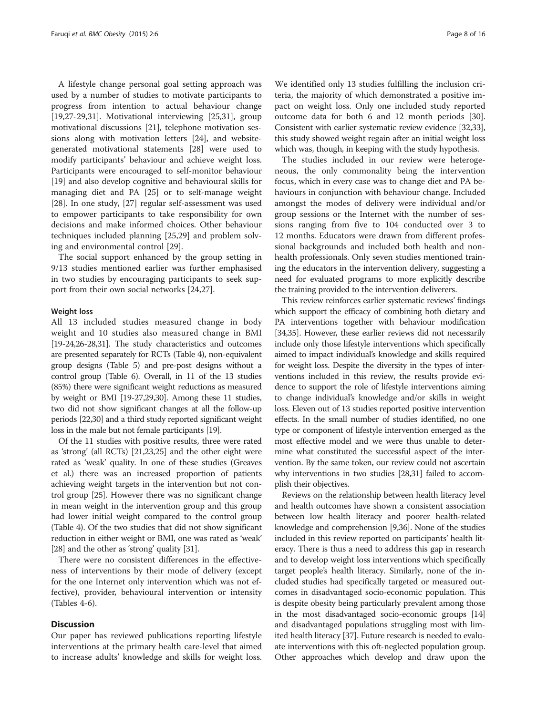A lifestyle change personal goal setting approach was used by a number of studies to motivate participants to progress from intention to actual behaviour change [[19,27-29,31\]](#page-15-0). Motivational interviewing [\[25,31\]](#page-15-0), group motivational discussions [\[21](#page-15-0)], telephone motivation sessions along with motivation letters [\[24\]](#page-15-0), and websitegenerated motivational statements [[28\]](#page-15-0) were used to modify participants' behaviour and achieve weight loss. Participants were encouraged to self-monitor behaviour [[19\]](#page-15-0) and also develop cognitive and behavioural skills for managing diet and PA [\[25](#page-15-0)] or to self-manage weight [[28\]](#page-15-0). In one study, [\[27](#page-15-0)] regular self-assessment was used to empower participants to take responsibility for own decisions and make informed choices. Other behaviour techniques included planning [[25,29](#page-15-0)] and problem solving and environmental control [[29\]](#page-15-0).

The social support enhanced by the group setting in 9/13 studies mentioned earlier was further emphasised in two studies by encouraging participants to seek support from their own social networks [\[24,27](#page-15-0)].

#### Weight loss

All 13 included studies measured change in body weight and 10 studies also measured change in BMI [[19](#page-15-0)-[24,26](#page-15-0)-[28,31\]](#page-15-0). The study characteristics and outcomes are presented separately for RCTs (Table [4\)](#page-8-0), non-equivalent group designs (Table [5](#page-10-0)) and pre-post designs without a control group (Table [6](#page-11-0)). Overall, in 11 of the 13 studies (85%) there were significant weight reductions as measured by weight or BMI [[19-27,29,30\]](#page-15-0). Among these 11 studies, two did not show significant changes at all the follow-up periods [\[22,30\]](#page-15-0) and a third study reported significant weight loss in the male but not female participants [[19](#page-15-0)].

Of the 11 studies with positive results, three were rated as 'strong' (all RCTs) [[21,23,25\]](#page-15-0) and the other eight were rated as 'weak' quality. In one of these studies (Greaves et al.) there was an increased proportion of patients achieving weight targets in the intervention but not control group [\[25](#page-15-0)]. However there was no significant change in mean weight in the intervention group and this group had lower initial weight compared to the control group (Table [4](#page-8-0)). Of the two studies that did not show significant reduction in either weight or BMI, one was rated as 'weak' [[28](#page-15-0)] and the other as 'strong' quality [\[31\]](#page-15-0).

There were no consistent differences in the effectiveness of interventions by their mode of delivery (except for the one Internet only intervention which was not effective), provider, behavioural intervention or intensity (Tables [4-](#page-8-0)[6](#page-11-0)).

## **Discussion**

Our paper has reviewed publications reporting lifestyle interventions at the primary health care-level that aimed to increase adults' knowledge and skills for weight loss.

We identified only 13 studies fulfilling the inclusion criteria, the majority of which demonstrated a positive impact on weight loss. Only one included study reported outcome data for both 6 and 12 month periods [\[30](#page-15-0)]. Consistent with earlier systematic review evidence [\[32,33](#page-15-0)], this study showed weight regain after an initial weight loss which was, though, in keeping with the study hypothesis.

The studies included in our review were heterogeneous, the only commonality being the intervention focus, which in every case was to change diet and PA behaviours in conjunction with behaviour change. Included amongst the modes of delivery were individual and/or group sessions or the Internet with the number of sessions ranging from five to 104 conducted over 3 to 12 months. Educators were drawn from different professional backgrounds and included both health and nonhealth professionals. Only seven studies mentioned training the educators in the intervention delivery, suggesting a need for evaluated programs to more explicitly describe the training provided to the intervention deliverers.

This review reinforces earlier systematic reviews' findings which support the efficacy of combining both dietary and PA interventions together with behaviour modification [[34,35\]](#page-15-0). However, these earlier reviews did not necessarily include only those lifestyle interventions which specifically aimed to impact individual's knowledge and skills required for weight loss. Despite the diversity in the types of interventions included in this review, the results provide evidence to support the role of lifestyle interventions aiming to change individual's knowledge and/or skills in weight loss. Eleven out of 13 studies reported positive intervention effects. In the small number of studies identified, no one type or component of lifestyle intervention emerged as the most effective model and we were thus unable to determine what constituted the successful aspect of the intervention. By the same token, our review could not ascertain why interventions in two studies [[28,31\]](#page-15-0) failed to accomplish their objectives.

Reviews on the relationship between health literacy level and health outcomes have shown a consistent association between low health literacy and poorer health-related knowledge and comprehension [[9](#page-14-0)[,36\]](#page-15-0). None of the studies included in this review reported on participants' health literacy. There is thus a need to address this gap in research and to develop weight loss interventions which specifically target people's health literacy. Similarly, none of the included studies had specifically targeted or measured outcomes in disadvantaged socio-economic population. This is despite obesity being particularly prevalent among those in the most disadvantaged socio-economic groups [[14](#page-14-0)] and disadvantaged populations struggling most with limited health literacy [\[37\]](#page-15-0). Future research is needed to evaluate interventions with this oft-neglected population group. Other approaches which develop and draw upon the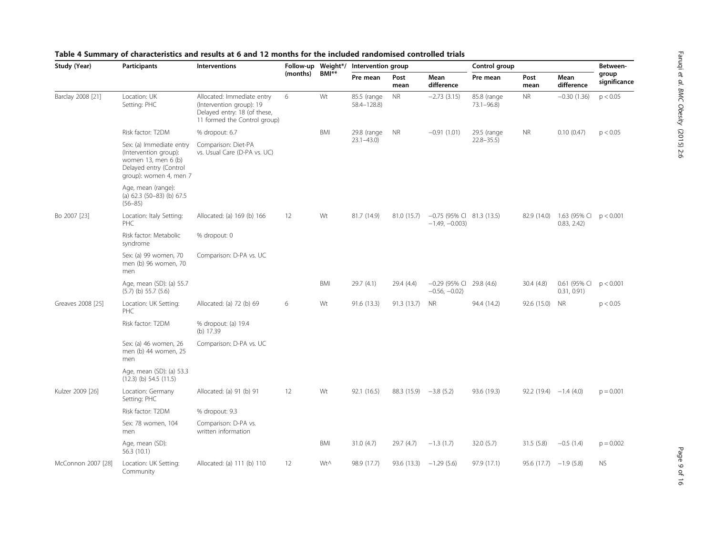| Study (Year)       | <b>Participants</b>                                                                                                          | <b>Interventions</b>                                                                                                   | (months) | Follow-up Weight*/<br>BMI <sup>**</sup> | Intervention group            |              |                                                | Control group                |              |                                        | Between-              |
|--------------------|------------------------------------------------------------------------------------------------------------------------------|------------------------------------------------------------------------------------------------------------------------|----------|-----------------------------------------|-------------------------------|--------------|------------------------------------------------|------------------------------|--------------|----------------------------------------|-----------------------|
|                    |                                                                                                                              |                                                                                                                        |          |                                         | Pre mean                      | Post<br>mean | Mean<br>difference                             | Pre mean                     | Post<br>mean | Mean<br>difference                     | group<br>significance |
| Barclay 2008 [21]  | Location: UK<br>Setting: PHC                                                                                                 | Allocated: Immediate entry<br>(Intervention group): 19<br>Delayed entry: 18 (of these,<br>11 formed the Control group) | 6        | Wt                                      | 85.5 (range<br>$58.4 - 128.8$ | <b>NR</b>    | $-2.73(3.15)$                                  | 85.8 (range<br>$73.1 - 96.8$ | <b>NR</b>    | $-0.30(1.36)$                          | p < 0.05              |
|                    | Risk factor: T2DM                                                                                                            | % dropout: 6.7                                                                                                         |          | BMI                                     | 29.8 (range<br>$23.1 - 43.0$  | <b>NR</b>    | $-0.91(1.01)$                                  | 29.5 (range                  | <b>NR</b>    | 0.10(0.47)                             | p < 0.05              |
|                    | Sex: (a) Immediate entry<br>(Intervention group):<br>women 13, men 6 (b)<br>Delayed entry (Control<br>group): women 4, men 7 | Comparison: Diet-PA<br>vs. Usual Care (D-PA vs. UC)                                                                    |          |                                         |                               |              |                                                | $22.8 - 35.5$                |              |                                        |                       |
|                    | Age, mean (range):<br>(a) 62.3 (50-83) (b) 67.5<br>$(56 - 85)$                                                               |                                                                                                                        |          |                                         |                               |              |                                                |                              |              |                                        |                       |
| Bo 2007 [23]       | Location: Italy Setting:<br>PHC                                                                                              | Allocated: (a) 169 (b) 166                                                                                             | 12       | Wt                                      | 81.7 (14.9)                   | 81.0 (15.7)  | $-0.75$ (95% CI 81.3 (13.5)<br>$-1.49, -0.003$ |                              | 82.9 (14.0)  | 1.63 (95% Cl $p < 0.001$<br>0.83, 2.42 |                       |
|                    | Risk factor: Metabolic<br>syndrome                                                                                           | % dropout: 0                                                                                                           |          |                                         |                               |              |                                                |                              |              |                                        |                       |
|                    | Sex: (a) 99 women, 70<br>men (b) 96 women, 70<br>men                                                                         | Comparison: D-PA vs. UC                                                                                                |          |                                         |                               |              |                                                |                              |              |                                        |                       |
|                    | Age, mean (SD): (a) 55.7<br>$(5.7)$ (b) 55.7 $(5.6)$                                                                         |                                                                                                                        |          | BMI                                     | 29.7(4.1)                     | 29.4 (4.4)   | $-0.29$ (95% CI 29.8 (4.6)<br>$-0.56, -0.02$   |                              | 30.4(4.8)    | 0.61 (95% CI<br>0.31, 0.91)            | p < 0.001             |
| Greaves 2008 [25]  | Location: UK Setting:<br>PHC                                                                                                 | Allocated: (a) 72 (b) 69                                                                                               | 6        | Wt                                      | 91.6(13.3)                    | 91.3(13.7)   | <b>NR</b>                                      | 94.4 (14.2)                  | 92.6 (15.0)  | <b>NR</b>                              | p < 0.05              |
|                    | Risk factor: T2DM                                                                                                            | % dropout: (a) 19.4<br>(b) 17.39                                                                                       |          |                                         |                               |              |                                                |                              |              |                                        |                       |
|                    | Sex: (a) 46 women, 26<br>men (b) 44 women, 25<br>men                                                                         | Comparison: D-PA vs. UC                                                                                                |          |                                         |                               |              |                                                |                              |              |                                        |                       |
|                    | Age, mean (SD): (a) 53.3<br>$(12.3)$ (b) 54.5 $(11.5)$                                                                       |                                                                                                                        |          |                                         |                               |              |                                                |                              |              |                                        |                       |
| Kulzer 2009 [26]   | Location: Germany<br>Setting: PHC                                                                                            | Allocated: (a) 91 (b) 91                                                                                               | 12       | Wt                                      | 92.1 (16.5)                   |              | $88.3(15.9) -3.8(5.2)$                         | 93.6 (19.3)                  |              | $92.2(19.4) -1.4(4.0)$                 | $p = 0.001$           |
|                    | Risk factor: T2DM                                                                                                            | % dropout: 9.3                                                                                                         |          |                                         |                               |              |                                                |                              |              |                                        |                       |
|                    | Sex: 78 women, 104<br>men                                                                                                    | Comparison: D-PA vs.<br>written information                                                                            |          |                                         |                               |              |                                                |                              |              |                                        |                       |
|                    | Age, mean (SD):<br>56.3 (10.1)                                                                                               |                                                                                                                        |          | BMI                                     | 31.0(4.7)                     | 29.7 (4.7)   | $-1.3(1.7)$                                    | 32.0(5.7)                    | 31.5(5.8)    | $-0.5(1.4)$                            | $p = 0.002$           |
| McConnon 2007 [28] | Location: UK Setting:<br>Community                                                                                           | Allocated: (a) 111 (b) 110                                                                                             | 12       | Wt^                                     | 98.9 (17.7)                   |              | $93.6(13.3) -1.29(5.6)$                        | 97.9 (17.1)                  |              | $95.6(17.7) -1.9(5.8)$                 | NS.                   |

## <span id="page-8-0"></span>Table 4 Summary of characteristics and results at 6 and 12 months for the included randomised controlled trials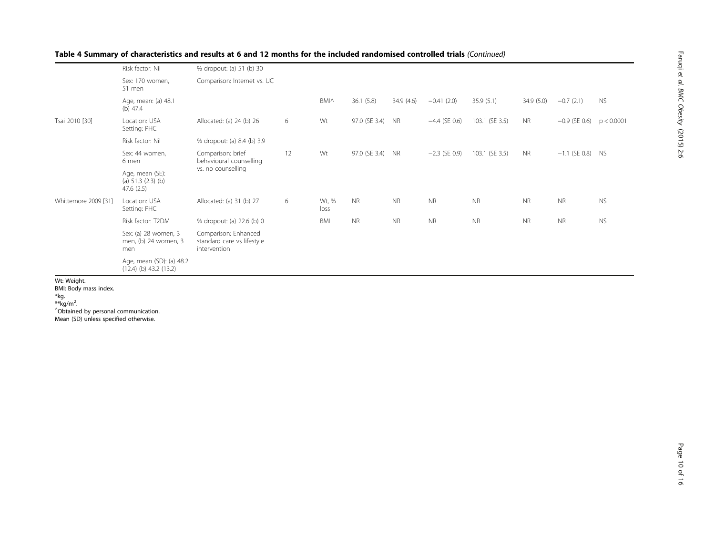| Table 4 Summary of characteristics and results at 6 and 12 months for the included randomised controlled trials (Continued) |  |
|-----------------------------------------------------------------------------------------------------------------------------|--|
|-----------------------------------------------------------------------------------------------------------------------------|--|

|                      | Risk factor: Nil                                       | % dropout: (a) 51 (b) 30                                           |    |               |               |            |                 |                |           |                    |            |
|----------------------|--------------------------------------------------------|--------------------------------------------------------------------|----|---------------|---------------|------------|-----------------|----------------|-----------|--------------------|------------|
|                      | Sex: 170 women,<br>51 men                              | Comparison: Internet vs. UC                                        |    |               |               |            |                 |                |           |                    |            |
|                      | Age, mean: (a) 48.1<br>(b) $47.4$                      |                                                                    |    | BMI^          | 36.1(5.8)     | 34.9 (4.6) | $-0.41(2.0)$    | 35.9(5.1)      | 34.9(5.0) | $-0.7(2.1)$        | <b>NS</b>  |
| Tsai 2010 [30]       | Location: USA<br>Setting: PHC                          | Allocated: (a) 24 (b) 26                                           | 6  | Wt            | 97.0 (SE 3.4) | <b>NR</b>  | $-4.4$ (SE 0.6) | 103.1 (SE 3.5) | <b>NR</b> | $-0.9$ (SE 0.6)    | p < 0.0001 |
|                      | Risk factor: Nil                                       | % dropout: (a) 8.4 (b) 3.9                                         |    |               |               |            |                 |                |           |                    |            |
|                      | Sex: 44 women,<br>6 men                                | Comparison: brief<br>behavioural counselling                       | 12 | Wt            | 97.0 (SE 3.4) | <b>NR</b>  | $-2.3$ (SE 0.9) | 103.1 (SE 3.5) | <b>NR</b> | $-1.1$ (SE 0.8) NS |            |
|                      | Age, mean (SE):<br>(a) $51.3$ (2.3) (b)<br>47.6(2.5)   | vs. no counselling                                                 |    |               |               |            |                 |                |           |                    |            |
| Whittemore 2009 [31] | Location: USA<br>Setting: PHC                          | Allocated: (a) 31 (b) 27                                           | 6  | Wt, %<br>loss | <b>NR</b>     | <b>NR</b>  | <b>NR</b>       | <b>NR</b>      | <b>NR</b> | <b>NR</b>          | <b>NS</b>  |
|                      | Risk factor: T2DM                                      | % dropout: (a) 22.6 (b) 0                                          |    | <b>BMI</b>    | <b>NR</b>     | <b>NR</b>  | <b>NR</b>       | <b>NR</b>      | <b>NR</b> | <b>NR</b>          | <b>NS</b>  |
|                      | Sex: (a) 28 women, 3<br>men, (b) 24 women, 3<br>men    | Comparison: Enhanced<br>standard care vs lifestyle<br>intervention |    |               |               |            |                 |                |           |                    |            |
|                      | Age, mean (SD): (a) 48.2<br>$(12.4)$ (b) 43.2 $(13.2)$ |                                                                    |    |               |               |            |                 |                |           |                    |            |

Wt: Weight. BMI: Body mass index. \*kg.<br>\*\*kg/m<sup>2</sup>.<br>^Obtained by personal communication. Mean (SD) unless specified otherwise.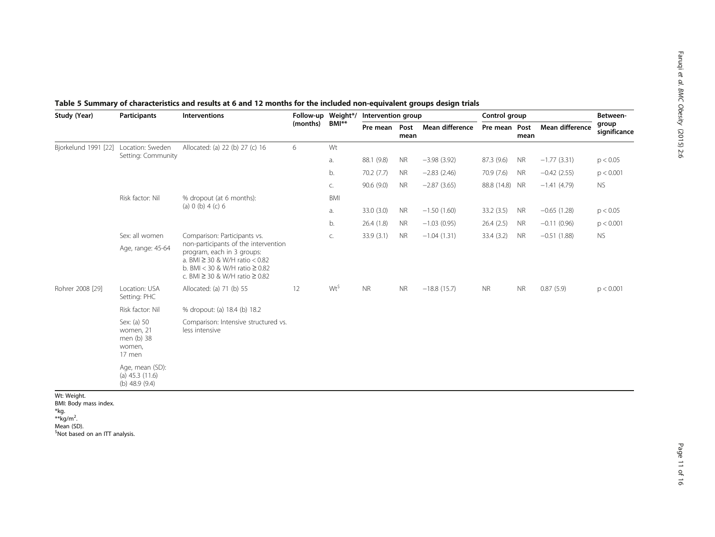| Study (Year)         | <b>Participants</b>                                        | Interventions                                                                                                                                                                        | Follow-up Weight*/<br>(months) | BMI**            | Intervention group |              |                        | Control group  |           |                        | Between-              |
|----------------------|------------------------------------------------------------|--------------------------------------------------------------------------------------------------------------------------------------------------------------------------------------|--------------------------------|------------------|--------------------|--------------|------------------------|----------------|-----------|------------------------|-----------------------|
|                      |                                                            |                                                                                                                                                                                      |                                |                  | Pre mean           | Post<br>mean | <b>Mean difference</b> | Pre mean Post  | mean      | <b>Mean difference</b> | group<br>significance |
| Bjorkelund 1991 [22] | Location: Sweden                                           | Allocated: (a) 22 (b) 27 (c) 16                                                                                                                                                      | 6                              | Wt               |                    |              |                        |                |           |                        |                       |
|                      | Setting: Community                                         |                                                                                                                                                                                      |                                | a.               | 88.1 (9.8)         | <b>NR</b>    | $-3.98(3.92)$          | 87.3 (9.6)     | <b>NR</b> | $-1.77(3.31)$          | p < 0.05              |
|                      |                                                            |                                                                                                                                                                                      |                                | b.               | 70.2(7.7)          | NR.          | $-2.83(2.46)$          | 70.9 (7.6)     | NR        | $-0.42(2.55)$          | p < 0.001             |
|                      |                                                            |                                                                                                                                                                                      |                                | C.               | 90.6(9.0)          | NR.          | $-2.87(3.65)$          | 88.8 (14.8) NR |           | $-1.41(4.79)$          | <b>NS</b>             |
|                      | Risk factor: Nil                                           | % dropout (at 6 months):                                                                                                                                                             |                                | <b>BMI</b>       |                    |              |                        |                |           |                        |                       |
|                      |                                                            | (a) $0$ (b) $4$ (c) $6$                                                                                                                                                              |                                | a.               | 33.0(3.0)          | <b>NR</b>    | $-1.50(1.60)$          | 33.2(3.5)      | <b>NR</b> | $-0.65(1.28)$          | p < 0.05              |
|                      |                                                            |                                                                                                                                                                                      |                                | b.               | 26.4(1.8)          | <b>NR</b>    | $-1.03(0.95)$          | 26.4(2.5)      | <b>NR</b> | $-0.11(0.96)$          | p < 0.001             |
|                      | Sex: all women                                             | Comparison: Participants vs.                                                                                                                                                         |                                | C.               | 33.9(3.1)          | NR.          | $-1.04(1.31)$          | 33.4 (3.2)     | <b>NR</b> | $-0.51(1.88)$          | <b>NS</b>             |
|                      | Age, range: 45-64                                          | non-participants of the intervention<br>program, each in 3 groups:<br>a. BMI $\geq$ 30 & W/H ratio $< 0.82$<br>b. BMI < 30 & W/H ratio $\geq$ 0.82<br>c. BMI ≥ 30 & W/H ratio ≥ 0.82 |                                |                  |                    |              |                        |                |           |                        |                       |
| Rohrer 2008 [29]     | Location: USA<br>Setting: PHC                              | Allocated: (a) 71 (b) 55                                                                                                                                                             | 12                             | Wt <sup>\$</sup> | <b>NR</b>          | <b>NR</b>    | $-18.8(15.7)$          | <b>NR</b>      | <b>NR</b> | 0.87(5.9)              | p < 0.001             |
|                      | Risk factor: Nil                                           | % dropout: (a) 18.4 (b) 18.2                                                                                                                                                         |                                |                  |                    |              |                        |                |           |                        |                       |
|                      | Sex: (a) 50<br>women, 21<br>men (b) 38<br>women,<br>17 men | Comparison: Intensive structured vs.<br>less intensive                                                                                                                               |                                |                  |                    |              |                        |                |           |                        |                       |
|                      | Age, mean (SD):<br>(a) $45.3(11.6)$<br>(b) $48.9(9.4)$     |                                                                                                                                                                                      |                                |                  |                    |              |                        |                |           |                        |                       |

<span id="page-10-0"></span>

| Table 5 Summary of characteristics and results at 6 and 12 months for the included non-equivalent groups design trials |  |  |  |
|------------------------------------------------------------------------------------------------------------------------|--|--|--|
|------------------------------------------------------------------------------------------------------------------------|--|--|--|

Wt: Weight. BMI: Body mass index. \*kg.<br>\*\*kg/m<sup>2</sup> .

Mean (SD).<br><sup>\$</sup>Not based on an ITT analysis.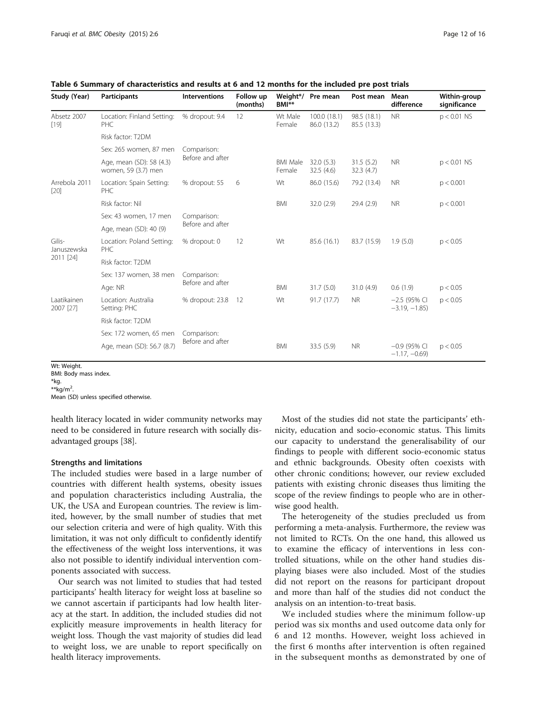| Study (Year)             | <b>Participants</b>                             | <b>Interventions</b> | Follow up<br>(months) | Weight*/<br>BMI <sup>**</sup> | Pre mean                    | Post mean                  | Mean<br>difference               | Within-group<br>significance |
|--------------------------|-------------------------------------------------|----------------------|-----------------------|-------------------------------|-----------------------------|----------------------------|----------------------------------|------------------------------|
| Absetz 2007<br>[19]      | Location: Finland Setting:<br>PHC               | % dropout: 9.4       | 12                    | Wt Male<br>Female             | 100.0 (18.1)<br>86.0 (13.2) | 98.5 (18.1)<br>85.5 (13.3) | <b>NR</b>                        | $p < 0.01$ NS                |
|                          | Risk factor: T2DM                               |                      |                       |                               |                             |                            |                                  |                              |
|                          | Sex: 265 women, 87 men                          | Comparison:          |                       |                               |                             |                            |                                  |                              |
|                          | Age, mean (SD): 58 (4.3)<br>women, 59 (3.7) men | Before and after     |                       | <b>BMI Male</b><br>Female     | 32.0(5.3)<br>32.5(4.6)      | 31.5(5.2)<br>32.3(4.7)     | <b>NR</b>                        | $p < 0.01$ NS                |
| Arrebola 2011<br>$[20]$  | Location: Spain Setting:<br>PHC                 | % dropout: 55        | 6                     | Wt                            | 86.0 (15.6)                 | 79.2 (13.4)                | <b>NR</b>                        | p < 0.001                    |
|                          | Risk factor: Nil                                |                      |                       | <b>BMI</b>                    | 32.0(2.9)                   | 29.4(2.9)                  | <b>NR</b>                        | p < 0.001                    |
|                          | Sex: 43 women, 17 men                           | Comparison:          |                       |                               |                             |                            |                                  |                              |
|                          | Age, mean (SD): 40 (9)                          | Before and after     |                       |                               |                             |                            |                                  |                              |
| Gilis-<br>Januszewska    | Location: Poland Setting:<br>PHC                | % dropout: 0         | 12                    | Wt                            | 85.6 (16.1)                 | 83.7 (15.9)                | 1.9(5.0)                         | p < 0.05                     |
| 2011 [24]                | Risk factor: T2DM                               |                      |                       |                               |                             |                            |                                  |                              |
|                          | Sex: 137 women, 38 men                          | Comparison:          |                       |                               |                             |                            |                                  |                              |
|                          | Age: NR                                         | Before and after     |                       | <b>BMI</b>                    | 31.7(5.0)                   | 31.0(4.9)                  | 0.6(1.9)                         | p < 0.05                     |
| Laatikainen<br>2007 [27] | Location: Australia<br>Setting: PHC             | % dropout: 23.8      | -12                   | Wt                            | 91.7(17.7)                  | <b>NR</b>                  | $-2.5$ (95% CI<br>$-3.19, -1.85$ | p < 0.05                     |
|                          | Risk factor: T2DM                               |                      |                       |                               |                             |                            |                                  |                              |
|                          | Sex: 172 women, 65 men                          | Comparison:          |                       |                               |                             |                            |                                  |                              |
|                          | Age, mean (SD): 56.7 (8.7)                      | Before and after     |                       | <b>BMI</b>                    | 33.5 (5.9)                  | <b>NR</b>                  | $-0.9$ (95% CI<br>$-1.17, -0.69$ | p < 0.05                     |

<span id="page-11-0"></span>Table 6 Summary of characteristics and results at 6 and 12 months for the included pre post trials

Wt: Weight.

BMI: Body mass index.

\*kg.  $**k\alpha/m^2$ 

. Mean (SD) unless specified otherwise.

health literacy located in wider community networks may need to be considered in future research with socially disadvantaged groups [[38](#page-15-0)].

## Strengths and limitations

The included studies were based in a large number of countries with different health systems, obesity issues and population characteristics including Australia, the UK, the USA and European countries. The review is limited, however, by the small number of studies that met our selection criteria and were of high quality. With this limitation, it was not only difficult to confidently identify the effectiveness of the weight loss interventions, it was also not possible to identify individual intervention components associated with success.

Our search was not limited to studies that had tested participants' health literacy for weight loss at baseline so we cannot ascertain if participants had low health literacy at the start. In addition, the included studies did not explicitly measure improvements in health literacy for weight loss. Though the vast majority of studies did lead to weight loss, we are unable to report specifically on health literacy improvements.

Most of the studies did not state the participants' ethnicity, education and socio-economic status. This limits our capacity to understand the generalisability of our findings to people with different socio-economic status and ethnic backgrounds. Obesity often coexists with other chronic conditions; however, our review excluded patients with existing chronic diseases thus limiting the scope of the review findings to people who are in otherwise good health.

The heterogeneity of the studies precluded us from performing a meta-analysis. Furthermore, the review was not limited to RCTs. On the one hand, this allowed us to examine the efficacy of interventions in less controlled situations, while on the other hand studies displaying biases were also included. Most of the studies did not report on the reasons for participant dropout and more than half of the studies did not conduct the analysis on an intention-to-treat basis.

We included studies where the minimum follow-up period was six months and used outcome data only for 6 and 12 months. However, weight loss achieved in the first 6 months after intervention is often regained in the subsequent months as demonstrated by one of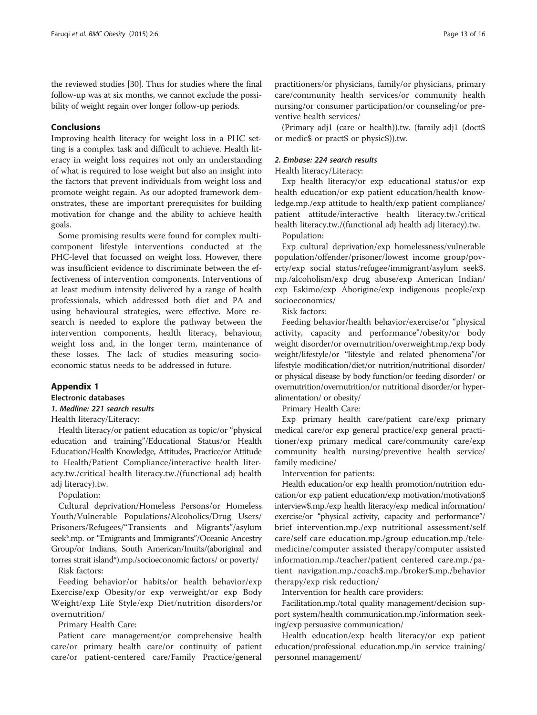<span id="page-12-0"></span>the reviewed studies [\[30\]](#page-15-0). Thus for studies where the final follow-up was at six months, we cannot exclude the possibility of weight regain over longer follow-up periods.

## Conclusions

Improving health literacy for weight loss in a PHC setting is a complex task and difficult to achieve. Health literacy in weight loss requires not only an understanding of what is required to lose weight but also an insight into the factors that prevent individuals from weight loss and promote weight regain. As our adopted framework demonstrates, these are important prerequisites for building motivation for change and the ability to achieve health goals.

Some promising results were found for complex multicomponent lifestyle interventions conducted at the PHC-level that focussed on weight loss. However, there was insufficient evidence to discriminate between the effectiveness of intervention components. Interventions of at least medium intensity delivered by a range of health professionals, which addressed both diet and PA and using behavioural strategies, were effective. More research is needed to explore the pathway between the intervention components, health literacy, behaviour, weight loss and, in the longer term, maintenance of these losses. The lack of studies measuring socioeconomic status needs to be addressed in future.

## Appendix 1

#### Electronic databases

#### 1. Medline: 221 search results

Health literacy/Literacy:

Health literacy/or patient education as topic/or "physical education and training"/Educational Status/or Health Education/Health Knowledge, Attitudes, Practice/or Attitude to Health/Patient Compliance/interactive health literacy.tw./critical health literacy.tw./(functional adj health adj literacy).tw.

Population:

Cultural deprivation/Homeless Persons/or Homeless Youth/Vulnerable Populations/Alcoholics/Drug Users/ Prisoners/Refugees/"Transients and Migrants"/asylum seek\*.mp. or "Emigrants and Immigrants"/Oceanic Ancestry Group/or Indians, South American/Inuits/(aboriginal and torres strait island\*).mp./socioeconomic factors/ or poverty/

Risk factors:

Feeding behavior/or habits/or health behavior/exp Exercise/exp Obesity/or exp verweight/or exp Body Weight/exp Life Style/exp Diet/nutrition disorders/or overnutrition/

Primary Health Care:

Patient care management/or comprehensive health care/or primary health care/or continuity of patient care/or patient-centered care/Family Practice/general

practitioners/or physicians, family/or physicians, primary care/community health services/or community health nursing/or consumer participation/or counseling/or preventive health services/

(Primary adj1 (care or health)).tw. (family adj1 (doct\$ or medic\$ or pract\$ or physic\$)).tw.

## 2. Embase: 224 search results

## Health literacy/Literacy:

Exp health literacy/or exp educational status/or exp health education/or exp patient education/health knowledge.mp./exp attitude to health/exp patient compliance/ patient attitude/interactive health literacy.tw./critical health literacy.tw./(functional adj health adj literacy).tw.

Population:

Exp cultural deprivation/exp homelessness/vulnerable population/offender/prisoner/lowest income group/poverty/exp social status/refugee/immigrant/asylum seek\$. mp./alcoholism/exp drug abuse/exp American Indian/ exp Eskimo/exp Aborigine/exp indigenous people/exp socioeconomics/

Risk factors:

Feeding behavior/health behavior/exercise/or "physical activity, capacity and performance"/obesity/or body weight disorder/or overnutrition/overweight.mp./exp body weight/lifestyle/or "lifestyle and related phenomena"/or lifestyle modification/diet/or nutrition/nutritional disorder/ or physical disease by body function/or feeding disorder/ or overnutrition/overnutrition/or nutritional disorder/or hyperalimentation/ or obesity/

Primary Health Care:

Exp primary health care/patient care/exp primary medical care/or exp general practice/exp general practitioner/exp primary medical care/community care/exp community health nursing/preventive health service/ family medicine/

Intervention for patients:

Health education/or exp health promotion/nutrition education/or exp patient education/exp motivation/motivation\$ interview\$.mp./exp health literacy/exp medical information/ exercise/or "physical activity, capacity and performance"/ brief intervention.mp./exp nutritional assessment/self care/self care education.mp./group education.mp./telemedicine/computer assisted therapy/computer assisted information.mp./teacher/patient centered care.mp./patient navigation.mp./coach\$.mp./broker\$.mp./behavior therapy/exp risk reduction/

Intervention for health care providers:

Facilitation.mp./total quality management/decision support system/health communication.mp./information seeking/exp persuasive communication/

Health education/exp health literacy/or exp patient education/professional education.mp./in service training/ personnel management/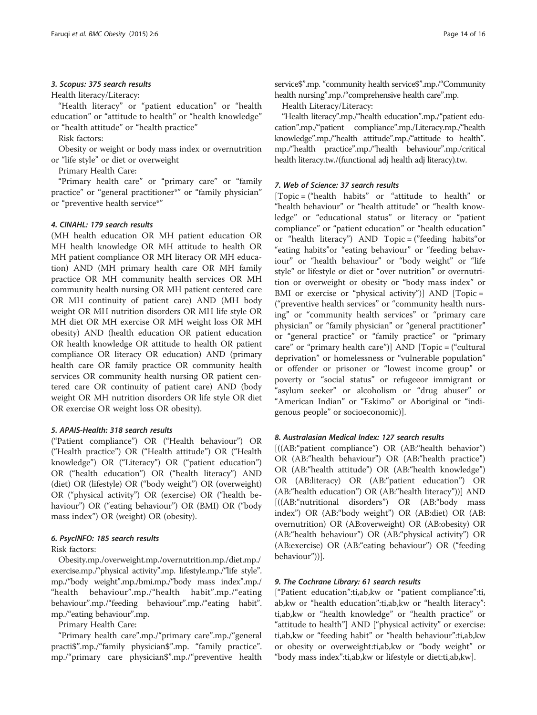## 3. Scopus: 375 search results

Health literacy/Literacy:

"Health literacy" or "patient education" or "health education" or "attitude to health" or "health knowledge" or "health attitude" or "health practice"

Risk factors:

Obesity or weight or body mass index or overnutrition or "life style" or diet or overweight

Primary Health Care:

"Primary health care" or "primary care" or "family practice" or "general practitioner\*" or "family physician" or "preventive health service\*"

## 4. CINAHL: 179 search results

(MH health education OR MH patient education OR MH health knowledge OR MH attitude to health OR MH patient compliance OR MH literacy OR MH education) AND (MH primary health care OR MH family practice OR MH community health services OR MH community health nursing OR MH patient centered care OR MH continuity of patient care) AND (MH body weight OR MH nutrition disorders OR MH life style OR MH diet OR MH exercise OR MH weight loss OR MH obesity) AND (health education OR patient education OR health knowledge OR attitude to health OR patient compliance OR literacy OR education) AND (primary health care OR family practice OR community health services OR community health nursing OR patient centered care OR continuity of patient care) AND (body weight OR MH nutrition disorders OR life style OR diet OR exercise OR weight loss OR obesity).

## 5. APAIS-Health: 318 search results

("Patient compliance") OR ("Health behaviour") OR ("Health practice") OR ("Health attitude") OR ("Health knowledge") OR ("Literacy") OR ("patient education") OR ("health education") OR ("health literacy") AND (diet) OR (lifestyle) OR ("body weight") OR (overweight) OR ("physical activity") OR (exercise) OR ("health behaviour") OR ("eating behaviour") OR (BMI) OR ("body mass index") OR (weight) OR (obesity).

## 6. PsycINFO: 185 search results

## Risk factors:

Obesity.mp./overweight.mp./overnutrition.mp./diet.mp./ exercise.mp./"physical activity".mp. lifestyle.mp./"life style". mp./"body weight".mp./bmi.mp./"body mass index".mp./ "health behaviour".mp./"health habit".mp./"eating behaviour".mp./"feeding behaviour".mp./"eating habit". mp./"eating behaviour".mp.

Primary Health Care:

"Primary health care".mp./"primary care".mp./"general practi\$".mp./"family physician\$".mp. "family practice". mp./"primary care physician\$".mp./"preventive health

service\$".mp. "community health service\$".mp./"Community health nursing".mp./"comprehensive health care".mp.

Health Literacy/Literacy:

"Health literacy".mp./"health education".mp./"patient education".mp./"patient compliance".mp./Literacy.mp./"health knowledge".mp./"health attitude".mp./"attitude to health". mp./"health practice".mp./"health behaviour".mp./critical health literacy.tw./(functional adj health adj literacy).tw.

#### 7. Web of Science: 37 search results

[Topic = ("health habits" or "attitude to health" or "health behaviour" or "health attitude" or "health knowledge" or "educational status" or literacy or "patient compliance" or "patient education" or "health education" or "health literacy") AND Topic = ("feeding habits"or "eating habits"or "eating behaviour" or "feeding behaviour" or "health behaviour" or "body weight" or "life style" or lifestyle or diet or "over nutrition" or overnutrition or overweight or obesity or "body mass index" or BMI or exercise or "physical activity")] AND [Topic = ("preventive health services" or "community health nursing" or "community health services" or "primary care physician" or "family physician" or "general practitioner" or "general practice" or "family practice" or "primary care" or "primary health care")] AND [Topic = ("cultural deprivation" or homelessness or "vulnerable population" or offender or prisoner or "lowest income group" or poverty or "social status" or refugeeor immigrant or "asylum seeker" or alcoholism or "drug abuser" or "American Indian" or "Eskimo" or Aboriginal or "indigenous people" or socioeconomic)].

## 8. Australasian Medical Index: 127 search results

[((AB:"patient compliance") OR (AB:"health behavior") OR (AB:"health behaviour") OR (AB:"health practice") OR (AB:"health attitude") OR (AB:"health knowledge") OR (AB:literacy) OR (AB:"patient education") OR (AB:"health education") OR (AB:"health literacy"))] AND [((AB:"nutritional disorders") OR (AB:"body mass index") OR (AB:"body weight") OR (AB:diet) OR (AB: overnutrition) OR (AB:overweight) OR (AB:obesity) OR (AB:"health behaviour") OR (AB:"physical activity") OR (AB:exercise) OR (AB:"eating behaviour") OR ("feeding behaviour"))].

## 9. The Cochrane Library: 61 search results

["Patient education":ti,ab,kw or "patient compliance":ti, ab,kw or "health education":ti,ab,kw or "health literacy": ti,ab,kw or "health knowledge" or "health practice" or "attitude to health"] AND ["physical activity" or exercise: ti,ab,kw or "feeding habit" or "health behaviour":ti,ab,kw or obesity or overweight:ti,ab,kw or "body weight" or "body mass index":ti,ab,kw or lifestyle or diet:ti,ab,kw].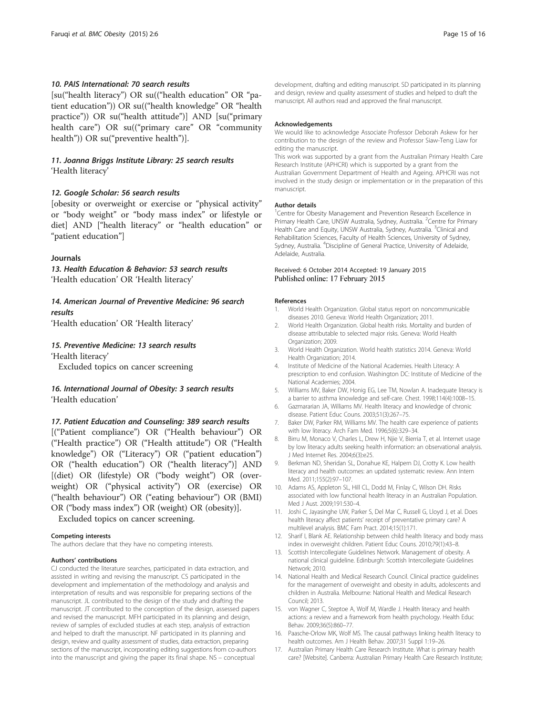## <span id="page-14-0"></span>10. PAIS International: 70 search results

[su("health literacy") OR su(("health education" OR "patient education")) OR su(("health knowledge" OR "health practice")) OR su("health attitude")] AND [su("primary health care") OR su(("primary care" OR "community health")) OR su("preventive health")].

## 11. Joanna Briggs Institute Library: 25 search results 'Health literacy'

## 12. Google Scholar: 56 search results

[obesity or overweight or exercise or "physical activity" or "body weight" or "body mass index" or lifestyle or diet] AND ["health literacy" or "health education" or "patient education"]

## Journals

13. Health Education & Behavior: 53 search results 'Health education' OR 'Health literacy'

## 14. American Journal of Preventive Medicine: 96 search results

'Health education' OR 'Health literacy'

## 15. Preventive Medicine: 13 search results

'Health literacy' Excluded topics on cancer screening

## 16. International Journal of Obesity: 3 search results 'Health education'

## 17. Patient Education and Counseling: 389 search results

[("Patient compliance") OR ("Health behaviour") OR ("Health practice") OR ("Health attitude") OR ("Health knowledge") OR ("Literacy") OR ("patient education") OR ("health education") OR ("health literacy")] AND [(diet) OR (lifestyle) OR ("body weight") OR (overweight) OR ("physical activity") OR (exercise) OR ("health behaviour") OR ("eating behaviour") OR (BMI) OR ("body mass index") OR (weight) OR (obesity)].

Excluded topics on cancer screening.

#### Competing interests

The authors declare that they have no competing interests.

#### Authors' contributions

CJ conducted the literature searches, participated in data extraction, and assisted in writing and revising the manuscript. CS participated in the development and implementation of the methodology and analysis and interpretation of results and was responsible for preparing sections of the manuscript. JL contributed to the design of the study and drafting the manuscript. JT contributed to the conception of the design, assessed papers and revised the manuscript. MFH participated in its planning and design, review of samples of excluded studies at each step, analysis of extraction and helped to draft the manuscript. NF participated in its planning and design, review and quality assessment of studies, data extraction, preparing sections of the manuscript, incorporating editing suggestions from co-authors into the manuscript and giving the paper its final shape. NS – conceptual

development, drafting and editing manuscript. SD participated in its planning and design, review and quality assessment of studies and helped to draft the manuscript. All authors read and approved the final manuscript.

#### Acknowledgements

We would like to acknowledge Associate Professor Deborah Askew for her contribution to the design of the review and Professor Siaw-Teng Liaw for editing the manuscript.

This work was supported by a grant from the Australian Primary Health Care Research Institute (APHCRI) which is supported by a grant from the Australian Government Department of Health and Ageing. APHCRI was not involved in the study design or implementation or in the preparation of this manuscript.

#### Author details

<sup>1</sup> Centre for Obesity Management and Prevention Research Excellence in Primary Health Care, UNSW Australia, Sydney, Australia. <sup>2</sup>Centre for Primary Health Care and Equity, UNSW Australia, Sydney, Australia. <sup>3</sup>Clinical and Rehabilitation Sciences, Faculty of Health Sciences, University of Sydney, Sydney, Australia. <sup>4</sup>Discipline of General Practice, University of Adelaide, Adelaide, Australia.

#### Received: 6 October 2014 Accepted: 19 January 2015 Published online: 17 February 2015

#### References

- World Health Organization. Global status report on noncommunicable diseases 2010. Geneva: World Health Organization; 2011.
- 2. World Health Organization. Global health risks. Mortality and burden of disease attributable to selected major risks. Geneva: World Health Organization; 2009.
- 3. World Health Organization. World health statistics 2014. Geneva: World Health Organization; 2014.
- 4. Institute of Medicine of the National Academies. Health Literacy: A prescription to end confusion. Washington DC: Institute of Medicine of the National Academies; 2004.
- 5. Williams MV, Baker DW, Honig EG, Lee TM, Nowlan A. Inadequate literacy is a barrier to asthma knowledge and self-care. Chest. 1998;114(4):1008–15.
- 6. Gazmararian JA, Williams MV. Health literacy and knowledge of chronic disease. Patient Educ Couns. 2003;51(3):267–75.
- 7. Baker DW, Parker RM, Williams MV. The health care experience of patients with low literacy. Arch Fam Med. 1996;5(6):329–34.
- 8. Birru M, Monaco V, Charles L, Drew H, Njie V, Bierria T, et al. Internet usage by low literacy adults seeking health information: an observational analysis. J Med Internet Res. 2004;6(3):e25.
- 9. Berkman ND, Sheridan SL, Donahue KE, Halpern DJ, Crotty K. Low health literacy and health outcomes: an updated systematic review. Ann Intern Med. 2011;155(2):97–107.
- 10. Adams AS, Appleton SL, Hill CL, Dodd M, Finlay C, Wilson DH. Risks associated with low functional health literacy in an Australian Population. Med J Aust. 2009;191:530–4.
- 11. Joshi C, Jayasinghe UW, Parker S, Del Mar C, Russell G, Lloyd J, et al. Does health literacy affect patients' receipt of preventative primary care? A multilevel analysis. BMC Fam Pract. 2014;15(1):171.
- 12. Sharif I, Blank AE. Relationship between child health literacy and body mass index in overweight children. Patient Educ Couns. 2010;79(1):43–8.
- 13. Scottish Intercollegiate Guidelines Network. Management of obesity. A national clinical guideline. Edinburgh: Scottish Intercollegiate Guidelines Network; 2010.
- 14. National Health and Medical Research Council. Clinical practice guidelines for the management of overweight and obesity in adults, adolescents and children in Australia. Melbourne: National Health and Medical Research Council; 2013.
- 15. von Wagner C, Steptoe A, Wolf M, Wardle J. Health literacy and health actions: a review and a framework from health psychology. Health Educ Behav. 2009;36(5):860–77.
- 16. Paasche-Orlow MK, Wolf MS. The causal pathways linking health literacy to health outcomes. Am J Health Behav. 2007;31 Suppl 1:19–26.
- 17. Australian Primary Health Care Research Institute. What is primary health care? [Website]. Canberra: Australian Primary Health Care Research Institute;